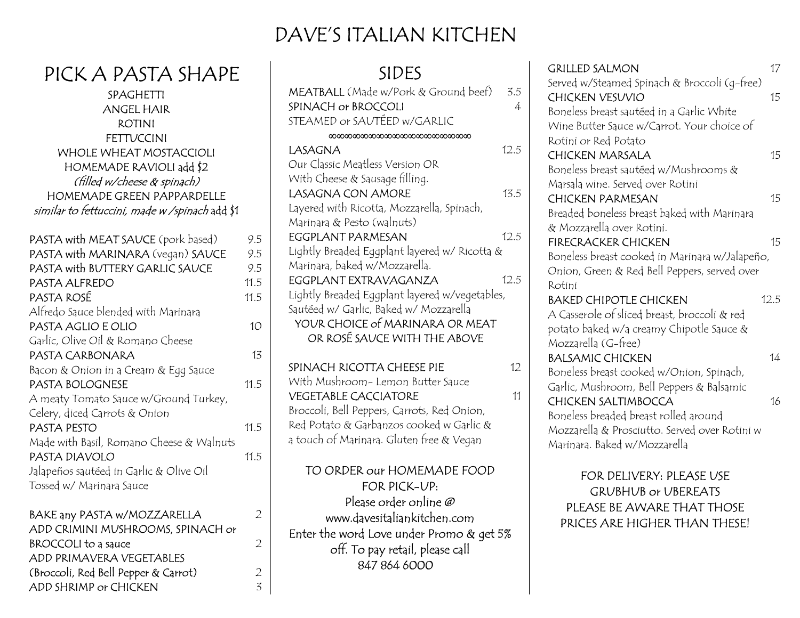## DAVE'S ITALIAN KITCHEN

| PICK A PASIA SHAPE                             |                 |
|------------------------------------------------|-----------------|
| SPAGHETTI                                      |                 |
| <b>ANGEL HAIR</b>                              |                 |
| <b>ROTINI</b>                                  |                 |
| <b>FETTUCCINI</b>                              |                 |
| <b>WHOLE WHEAT MOSTACCIOLI</b>                 |                 |
| HOMEMADE RAVIOLI add \$2                       |                 |
| (filled w/cheese & spinach)                    |                 |
| HOMEMADE GREEN PAPPARDELLE                     |                 |
| similar to fettuccini, made w /spinach add \$1 |                 |
| PASTA with MEAT SAUCE (pork based)             | 9.5             |
| PASTA with MARINARA (vegan) SAUCE              | 9.5             |
| PASTA with BUTTERY GARLIC SAUCE                | 9.5             |
| PASTA ALFREDO                                  | 11.5            |
| PASTA ROSÉ                                     | 11.5            |
| Alfredo Sauce blended with Marinara            |                 |
| PASTA AGLIO E OLIO                             | 10 <sup>°</sup> |
| Garlic, Olive Oil & Romano Cheese              |                 |
| PASTA CARBONARA                                | 13              |
| Bacon & Onion in a Cream & Egg Sauce           |                 |
| PASTA BOLOGNESE                                | 11.5            |
| A meaty Tomato Sauce w/Ground Turkey,          |                 |
| Celery, diced Carrots & Onion                  |                 |
| PASTA PESTO                                    | 11.5            |
| Made with Basil, Romano Cheese & Walnuts       |                 |
| PASTA DIAVOLO                                  | 11.5            |
| Jalapeños sautéed in Garlic & Olive Oil        |                 |
| Tossed w/ Marinara Sauce                       |                 |
| BAKE any PASTA w/MOZZARELLA                    | $\overline{2}$  |
| ADD CRIMINI MUSHROOMS, SPINACH or              |                 |
| <b>BROCCOLI</b> to a sauce                     | $\overline{2}$  |
| ADD PRIMAVERA VEGETABLES                       |                 |

(Broccoli, Red Bell Pepper & Carrot) 2 ADD SHRIMP or CHICKEN 3

PICK A PASTA SHAPE

| <b>SIDES</b>                                                                             |          |
|------------------------------------------------------------------------------------------|----------|
| MEATBALL (Made w/Pork & Ground beef)<br>SPINACH or BROCCOLI                              | 3.5<br>4 |
| STEAMED or SAUTÉED w/GARLIC                                                              |          |
| LASAGNA                                                                                  | 12.5     |
| Our Classic Meatless Version OR                                                          |          |
| With Cheese & Sausage filling.<br><b>LASAGNA CON AMORE</b>                               | 13.5     |
| Layered with Ricotta, Mozzarella, Spinach,                                               |          |
| Marinara & Pesto (walnuts)                                                               |          |
| <b>EGGPLANT PARMESAN</b><br>Lightly Breaded Eggplant layered w/ Ricotta &                | 12.5     |
| Marinara, baked w/Mozzarella.                                                            |          |
| EGGPLANT EXTRAVAGANZA                                                                    | 12.5     |
| Lightly Breaded Eggplant layered w/vegetables,<br>Sautéed w/ Garlic, Baked w/ Mozzarella |          |
| YOUR CHOICE of MARINARA OR MEAT                                                          |          |
| OR ROSÉ SAUCE WITH THE ABOVE                                                             |          |
| SPINACH RICOTTA CHEESE PIE                                                               | 12       |
| With Mushroom- Lemon Butter Sauce                                                        |          |
| <b>VEGETABLE CACCIATORE</b><br>Broccoli, Bell Peppers, Carrots, Red Onion,               | 11       |
| Red Potato & Garbanzos cooked w Garlic &                                                 |          |
| a touch of Marinara. Gluten free & Vegan                                                 |          |
| TO ORDER our HOMEMADE FOOD                                                               |          |
| FOR PICK-UP:<br>Please order online @                                                    |          |
| www.davesitaliankitchen.com                                                              |          |
| Enter the word Love under Promo & get 5%                                                 |          |
| off. To pay retail, please call                                                          |          |
| 847 864 6000                                                                             |          |

| <b>GRILLED SALMON</b>                          | 17   |
|------------------------------------------------|------|
| Served w/Steamed Spinach & Broccoli (q-free)   |      |
| <b>CHICKEN VESUVIO</b>                         | 15   |
| Boneless breast sautéed in a Garlic White      |      |
| Wine Butter Sauce w/Carrot. Your choice of     |      |
| Rotini or Red Potato                           |      |
| <b>CHICKEN MARSALA</b>                         | 15   |
| Boneless breast sautéed w/Mushrooms &          |      |
| Marsala wine. Served over Rotini               |      |
| <b>CHICKEN PARMESAN</b>                        | 15   |
| Breaded boneless breast baked with Marinara    |      |
| & Mozzarella over Rotini.                      |      |
| <b>FIRECRACKER CHICKEN</b>                     | 15   |
| Boneless breast cooked in Marinara w/Jalapeño, |      |
| Onion, Green & Red Bell Peppers, served over   |      |
| Rotini                                         |      |
|                                                |      |
| <b>BAKED CHIPOTLE CHICKEN</b>                  | 12.5 |
| A Casserole of sliced breast, broccoli & red   |      |
| potato baked w/a creamy Chipotle Sauce &       |      |
| Mozzarella (G-free)                            |      |
| <b>BALSAMIC CHICKEN</b>                        | 14   |
| Boneless breast cooked w/Onion, Spinach,       |      |
| Garlic, Mushroom, Bell Peppers & Balsamic      |      |
| <b>CHICKEN SALTIMBOCCA</b>                     | 16   |
| Boneless breaded breast rolled around          |      |
| Mozzarella & Prosciutto. Served over Rotini w  |      |
| Marinara. Baked w/Mozzarella                   |      |

FOR DELIVERY: PLEASE USE GRUBHUB or UBEREATS PLEASE BE AWARE THAT THOSE PRICES ARE HIGHER THAN THESE!